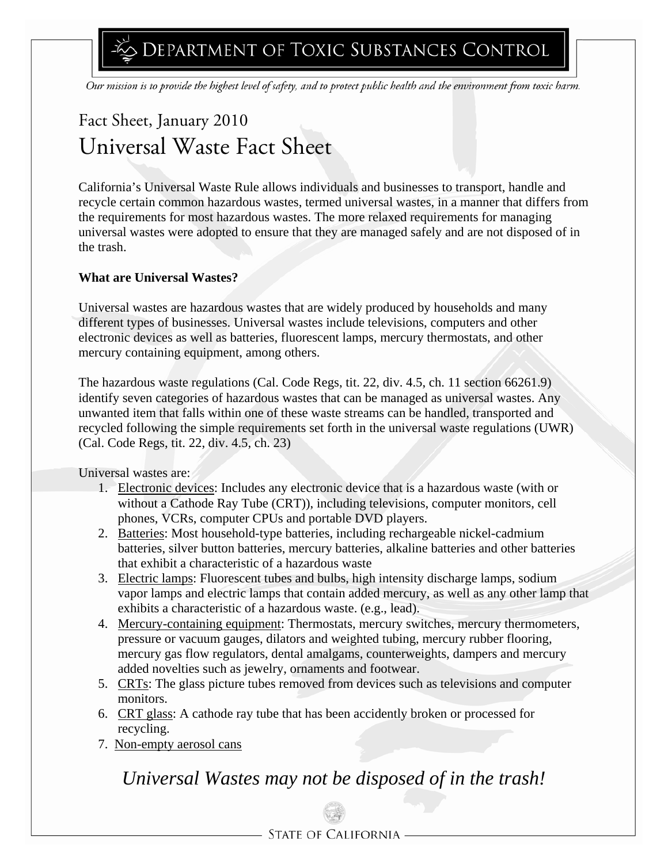DEPARTMENT OF TOXIC SUBSTANCES CONTROL

Our mission is to provide the highest level of safety, and to protect public health and the environment from toxic harm.

# Fact Sheet, January 2010 Universal Waste Fact Sheet

California's Universal Waste Rule allows individuals and businesses to transport, handle and recycle certain common hazardous wastes, termed universal wastes, in a manner that differs from the requirements for most hazardous wastes. The more relaxed requirements for managing universal wastes were adopted to ensure that they are managed safely and are not disposed of in the trash.

#### **What are Universal Wastes?**

Universal wastes are hazardous wastes that are widely produced by households and many different types of businesses. Universal wastes include televisions, computers and other electronic devices as well as batteries, fluorescent lamps, mercury thermostats, and other mercury containing equipment, among others.

The hazardous waste regulations (Cal. Code Regs, tit. 22, div. 4.5, ch. 11 section 66261.9) identify seven categories of hazardous wastes that can be managed as universal wastes. Any unwanted item that falls within one of these waste streams can be handled, transported and recycled following the simple requirements set forth in the universal waste regulations (UWR) (Cal. Code Regs, tit. 22, div. 4.5, ch. 23)

Universal wastes are:

- 1. Electronic devices: Includes any electronic device that is a hazardous waste (with or without a Cathode Ray Tube (CRT)), including televisions, computer monitors, cell phones, VCRs, computer CPUs and portable DVD players.
- 2. Batteries: Most household-type batteries, including rechargeable nickel-cadmium batteries, silver button batteries, mercury batteries, alkaline batteries and other batteries that exhibit a characteristic of a hazardous waste
- 3. Electric lamps: Fluorescent tubes and bulbs, high intensity discharge lamps, sodium vapor lamps and electric lamps that contain added mercury, as well as any other lamp that exhibits a characteristic of a hazardous waste. (e.g., lead).
- 4. Mercury-containing equipment: Thermostats, mercury switches, mercury thermometers, pressure or vacuum gauges, dilators and weighted tubing, mercury rubber flooring, mercury gas flow regulators, dental amalgams, counterweights, dampers and mercury added novelties such as jewelry, ornaments and footwear.
- 5. CRTs: The glass picture tubes removed from devices such as televisions and computer monitors.
- 6. CRT glass: A cathode ray tube that has been accidently broken or processed for recycling.
- 7. Non-empty aerosol cans

# *Universal Wastes may not be disposed of in the trash!*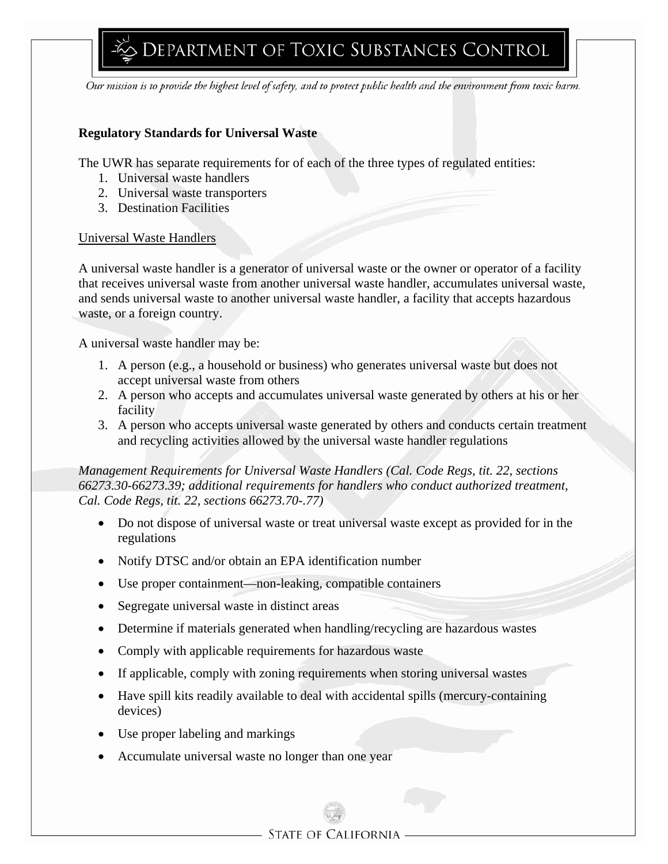#### **Regulatory Standards for Universal Waste**

The UWR has separate requirements for of each of the three types of regulated entities:

- 1. Universal waste handlers
- 2. Universal waste transporters
- 3. Destination Facilities

#### Universal Waste Handlers

A universal waste handler is a generator of universal waste or the owner or operator of a facility that receives universal waste from another universal waste handler, accumulates universal waste, and sends universal waste to another universal waste handler, a facility that accepts hazardous waste, or a foreign country.

A universal waste handler may be:

- 1. A person (e.g., a household or business) who generates universal waste but does not accept universal waste from others
- 2. A person who accepts and accumulates universal waste generated by others at his or her facility
- 3. A person who accepts universal waste generated by others and conducts certain treatment and recycling activities allowed by the universal waste handler regulations

*Management Requirements for Universal Waste Handlers (Cal. Code Regs, tit. 22, sections 66273.30-66273.39; additional requirements for handlers who conduct authorized treatment, Cal. Code Regs, tit. 22, sections 66273.70-.77)* 

- Do not dispose of universal waste or treat universal waste except as provided for in the regulations
- Notify DTSC and/or obtain an EPA identification number
- Use proper containment—non-leaking, compatible containers
- Segregate universal waste in distinct areas
- Determine if materials generated when handling/recycling are hazardous wastes
- Comply with applicable requirements for hazardous waste
- If applicable, comply with zoning requirements when storing universal wastes
- Have spill kits readily available to deal with accidental spills (mercury-containing devices)
- Use proper labeling and markings
- Accumulate universal waste no longer than one year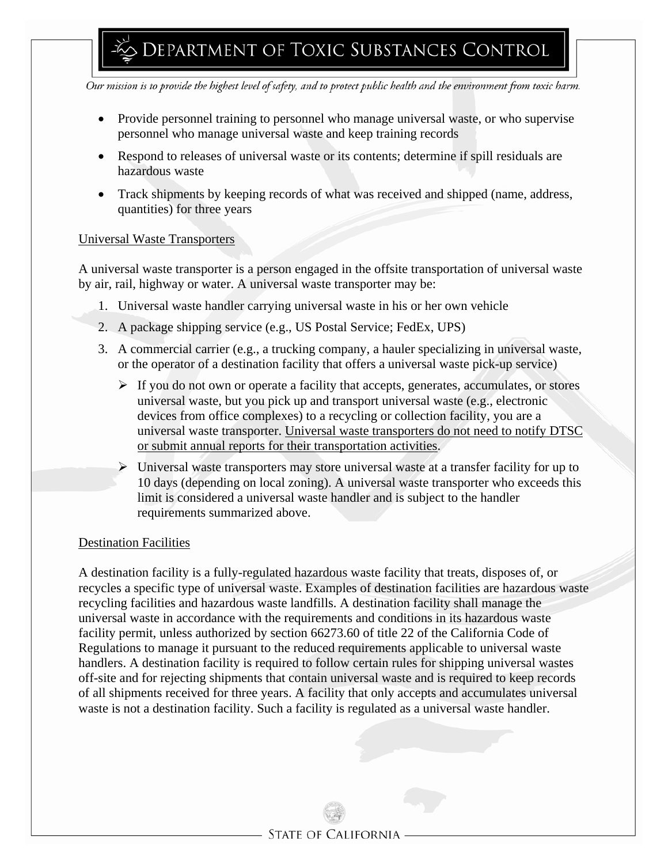- Provide personnel training to personnel who manage universal waste, or who supervise personnel who manage universal waste and keep training records
- Respond to releases of universal waste or its contents; determine if spill residuals are hazardous waste
- Track shipments by keeping records of what was received and shipped (name, address, quantities) for three years

#### Universal Waste Transporters

A universal waste transporter is a person engaged in the offsite transportation of universal waste by air, rail, highway or water. A universal waste transporter may be:

- 1. Universal waste handler carrying universal waste in his or her own vehicle
- 2. A package shipping service (e.g., US Postal Service; FedEx, UPS)
- 3. A commercial carrier (e.g., a trucking company, a hauler specializing in universal waste, or the operator of a destination facility that offers a universal waste pick-up service)
	- ¾ If you do not own or operate a facility that accepts, generates, accumulates, or stores universal waste, but you pick up and transport universal waste (e.g., electronic devices from office complexes) to a recycling or collection facility, you are a universal waste transporter. Universal waste transporters do not need to notify DTSC or submit annual reports for their transportation activities.
	- $\triangleright$  Universal waste transporters may store universal waste at a transfer facility for up to 10 days (depending on local zoning). A universal waste transporter who exceeds this limit is considered a universal waste handler and is subject to the handler requirements summarized above.

#### Destination Facilities

A destination facility is a fully-regulated hazardous waste facility that treats, disposes of, or recycles a specific type of universal waste. Examples of destination facilities are hazardous waste recycling facilities and hazardous waste landfills. A destination facility shall manage the universal waste in accordance with the requirements and conditions in its hazardous waste facility permit, unless authorized by section 66273.60 of title 22 of the California Code of Regulations to manage it pursuant to the reduced requirements applicable to universal waste handlers. A destination facility is required to follow certain rules for shipping universal wastes off-site and for rejecting shipments that contain universal waste and is required to keep records of all shipments received for three years. A facility that only accepts and accumulates universal waste is not a destination facility. Such a facility is regulated as a universal waste handler.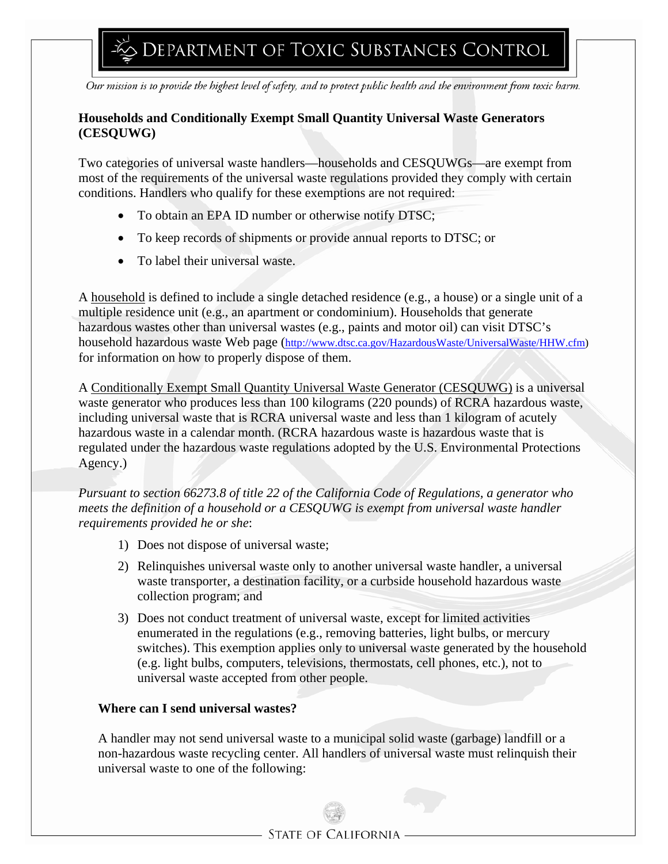## **Households and Conditionally Exempt Small Quantity Universal Waste Generators (CESQUWG)**

Two categories of universal waste handlers—households and CESQUWGs—are exempt from most of the requirements of the universal waste regulations provided they comply with certain conditions. Handlers who qualify for these exemptions are not required:

- To obtain an EPA ID number or otherwise notify DTSC;
- To keep records of shipments or provide annual reports to DTSC; or
- To label their universal waste.

A household is defined to include a single detached residence (e.g., a house) or a single unit of a multiple residence unit (e.g., an apartment or condominium). Households that generate hazardous wastes other than universal wastes (e.g., paints and motor oil) can visit DTSC's household hazardous waste Web page (http://www.dtsc.ca.gov/HazardousWaste/UniversalWaste/HHW.cfm) for information on how to properly dispose of them.

A Conditionally Exempt Small Quantity Universal Waste Generator (CESQUWG) is a universal waste generator who produces less than 100 kilograms (220 pounds) of RCRA hazardous waste, including universal waste that is RCRA universal waste and less than 1 kilogram of acutely hazardous waste in a calendar month. (RCRA hazardous waste is hazardous waste that is regulated under the hazardous waste regulations adopted by the U.S. Environmental Protections Agency.)

*Pursuant to section 66273.8 of title 22 of the California Code of Regulations, a generator who meets the definition of a household or a CESQUWG is exempt from universal waste handler requirements provided he or she*:

- 1) Does not dispose of universal waste;
- 2) Relinquishes universal waste only to another universal waste handler, a universal waste transporter, a destination facility, or a curbside household hazardous waste collection program; and
- 3) Does not conduct treatment of universal waste, except for limited activities enumerated in the regulations (e.g., removing batteries, light bulbs, or mercury switches). This exemption applies only to universal waste generated by the household (e.g. light bulbs, computers, televisions, thermostats, cell phones, etc.), not to universal waste accepted from other people.

### **Where can I send universal wastes?**

A handler may not send universal waste to a municipal solid waste (garbage) landfill or a non-hazardous waste recycling center. All handlers of universal waste must relinquish their universal waste to one of the following: